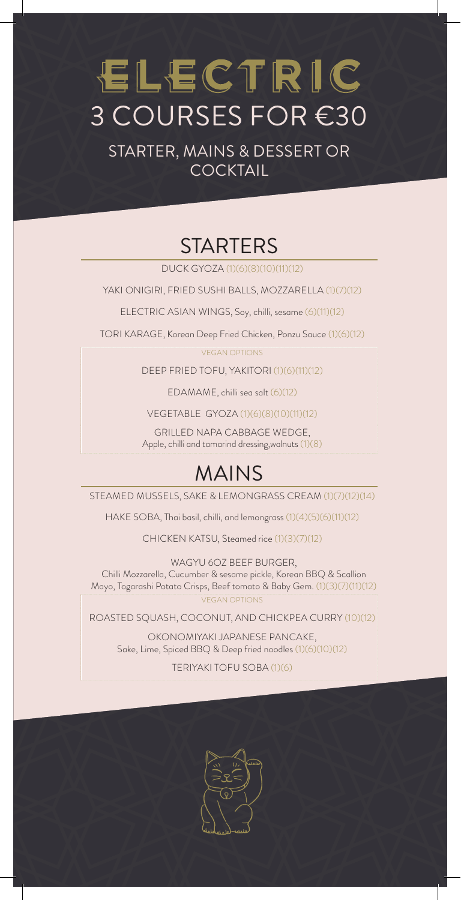# ELECTRIC 3 COURSES FOR €30

STARTER, MAINS & DESSERT OR **COCKTAIL** 

# **STARTERS**

DUCK GYOZA (1)(6)(8)(10)(11)(12)

YAKI ONIGIRI, FRIED SUSHI BALLS, MOZZARELLA (1)(7)(12)

ELECTRIC ASIAN WINGS, Soy, chilli, sesame (6)(11)(12)

TORI KARAGE, Korean Deep Fried Chicken, Ponzu Sauce (1)(6)(12)

VEGAN OPTIONS

DEEP FRIED TOFU, YAKITORI (1)(6)(11)(12)

EDAMAME, chilli sea salt (6)(12)

VEGETABLE GYOZA (1)(6)(8)(10)(11)(12)

GRILLED NAPA CABBAGE WEDGE, Apple, chilli and tamarind dressing,walnuts (1)(8)

### MAINS

STEAMED MUSSELS, SAKE & LEMONGRASS CREAM (1)(7)(12)(14)

HAKE SOBA, Thai basil, chilli, and lemongrass (1)(4)(5)(6)(11)(12)

CHICKEN KATSU, Steamed rice (1)(3)(7)(12)

WAGYU 6OZ BEEF BURGER, Chilli Mozzarella, Cucumber & sesame pickle, Korean BBQ & Scallion Mayo, Togarashi Potato Crisps, Beef tomato & Baby Gem. (1)(3)(7)(11)(12)

VEGAN OPTIONS

ROASTED SQUASH, COCONUT, AND CHICKPEA CURRY (10)(12)

OKONOMIYAKI JAPANESE PANCAKE, Sake, Lime, Spiced BBQ & Deep fried noodles (1)(6)(10)(12)

TERIYAKI TOFU SOBA (1)(6)